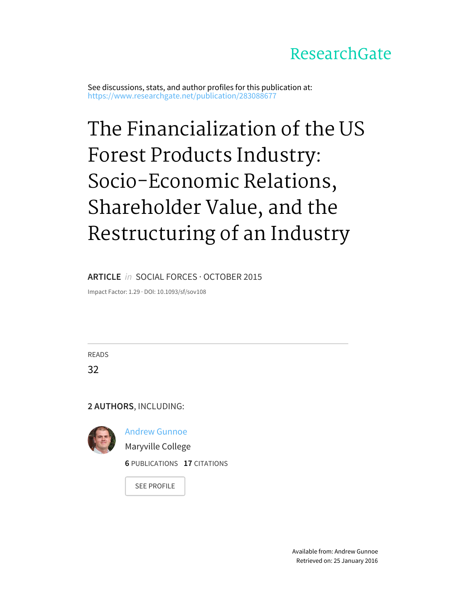# ResearchGate

See discussions, stats, and author profiles for this publication at: https://www.researchgate.net/publication/283088677

# The Financialization of the US Forest Products Industry: Socio-Economic Relations, Shareholder Value, and the Restructuring of an Industry

**ARTICLE** in SOCIAL FORCES · OCTOBER 2015

Impact Factor: 1.29 · DOI: 10.1093/sf/sov108

READS

32

**2 AUTHORS**, INCLUDING:



Andrew Gunnoe

Maryville College **6** PUBLICATIONS **17** CITATIONS

SEE PROFILE

Available from: Andrew Gunnoe Retrieved on: 25 January 2016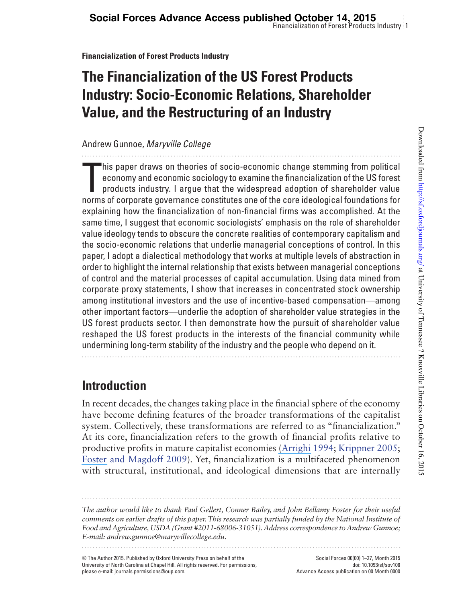**Financialization of Forest Products Industry**

# **The Financialization of the US Forest Products Industry: Socio-Economic Relations, Shareholder Value, and the Restructuring of an Industry**

#### Andrew Gunnoe, *Maryville College*

his paper draws on theories of socio-economic change stemming from political economy and economic sociology to examine the financialization of the US forest products industry. I argue that the widespread adoption of shareh his paper draws on theories of socio-economic change stemming from political economy and economic sociology to examine the fnancialization of the US forest products industry. I argue that the widespread adoption of shareholder value explaining how the fnancialization of non-fnancial frms was accomplished. At the same time, I suggest that economic sociologists' emphasis on the role of shareholder value ideology tends to obscure the concrete realities of contemporary capitalism and the socio-economic relations that underlie managerial conceptions of control. In this paper, I adopt a dialectical methodology that works at multiple levels of abstraction in order to highlight the internal relationship that exists between managerial conceptions of control and the material processes of capital accumulation. Using data mined from corporate proxy statements, I show that increases in concentrated stock ownership among institutional investors and the use of incentive-based compensation—among other important factors—underlie the adoption of shareholder value strategies in the US forest products sector. I then demonstrate how the pursuit of shareholder value reshaped the US forest products in the interests of the fnancial community while undermining long-term stability of the industry and the people who depend on it.

# **Introduction**

In recent decades, the changes taking place in the fnancial sphere of the economy have become defning features of the broader transformations of the capitalist system. Collectively, these transformations are referred to as "fnancialization." At its core, fnancialization refers to the growth of fnancial profts relative to productive profts in mature capitalist economies (Arrighi 1994; Krippner 2005; Foster and Magdoff 2009). Yet, fnancialization is a multifaceted phenomenon with structural, institutional, and ideological dimensions that are internally

*The author would like to thank Paul Gellert, Conner Bailey, and John Bellamy Foster for their useful comments on earlier drafts of this paper. This research was partially funded by the National Institute of Food and Agriculture, USDA (Grant #2011-68006-31051). Address correspondence to Andrew Gunnoe; E-mail: andrew.gunnoe@maryvillecollege.edu.*

© The Author 2015. Published by Oxford University Press on behalf of the University of North Carolina at Chapel Hill. All rights reserved. For permissions, please e-mail: journals.permissions@oup.com.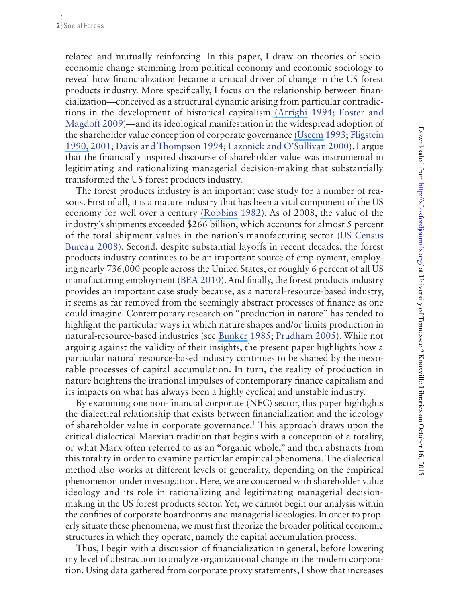related and mutually reinforcing. In this paper, I draw on theories of socioeconomic change stemming from political economy and economic sociology to reveal how fnancialization became a critical driver of change in the US forest products industry. More specifcally, I focus on the relationship between fnancialization—conceived as a structural dynamic arising from particular contradictions in the development of historical capitalism (Arrighi 1994; Foster and Magdoff 2009)—and its ideological manifestation in the widespread adoption of the shareholder value conception of corporate governance (Useem 1993; Fligstein 1990, 2001; Davis and Thompson 1994; Lazonick and O'Sullivan 2000). I argue that the fnancially inspired discourse of shareholder value was instrumental in legitimating and rationalizing managerial decision-making that substantially transformed the US forest products industry.

The forest products industry is an important case study for a number of reasons. First of all, it is a mature industry that has been a vital component of the US economy for well over a century (Robbins 1982). As of 2008, the value of the industry's shipments exceeded \$266 billion, which accounts for almost 5 percent of the total shipment values in the nation's manufacturing sector (US Census Bureau 2008). Second, despite substantial layoffs in recent decades, the forest products industry continues to be an important source of employment, employing nearly 736,000 people across the United States, or roughly 6 percent of all US manufacturing employment (BEA 2010). And fnally, the forest products industry provides an important case study because, as a natural-resource-based industry, it seems as far removed from the seemingly abstract processes of fnance as one could imagine. Contemporary research on "production in nature" has tended to highlight the particular ways in which nature shapes and/or limits production in natural-resource-based industries (see Bunker 1985; Prudham 2005). While not arguing against the validity of their insights, the present paper highlights how a particular natural resource-based industry continues to be shaped by the inexorable processes of capital accumulation. In turn, the reality of production in nature heightens the irrational impulses of contemporary fnance capitalism and its impacts on what has always been a highly cyclical and unstable industry.

By examining one non-fnancial corporate (NFC) sector, this paper highlights the dialectical relationship that exists between fnancialization and the ideology of shareholder value in corporate governance.1 This approach draws upon the critical-dialectical Marxian tradition that begins with a conception of a totality, or what Marx often referred to as an "organic whole," and then abstracts from this totality in order to examine particular empirical phenomena. The dialectical method also works at different levels of generality, depending on the empirical phenomenon under investigation. Here, we are concerned with shareholder value ideology and its role in rationalizing and legitimating managerial decisionmaking in the US forest products sector. Yet, we cannot begin our analysis within the confnes of corporate boardrooms and managerial ideologies. In order to properly situate these phenomena, we must frst theorize the broader political economic structures in which they operate, namely the capital accumulation process.

Thus, I begin with a discussion of fnancialization in general, before lowering my level of abstraction to analyze organizational change in the modern corporation. Using data gathered from corporate proxy statements, I show that increases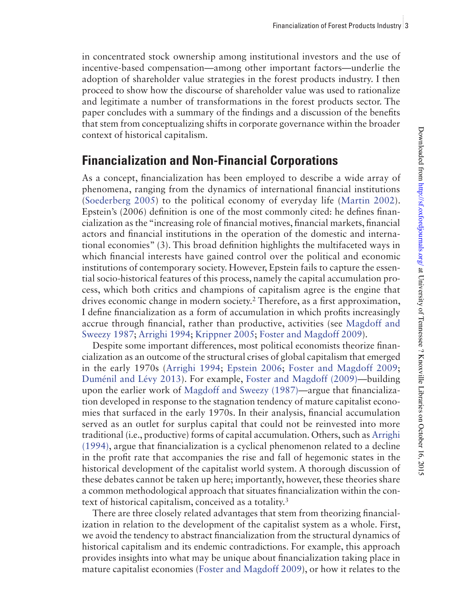in concentrated stock ownership among institutional investors and the use of incentive-based compensation—among other important factors—underlie the adoption of shareholder value strategies in the forest products industry. I then proceed to show how the discourse of shareholder value was used to rationalize and legitimate a number of transformations in the forest products sector. The paper concludes with a summary of the fndings and a discussion of the benefts that stem from conceptualizing shifts in corporate governance within the broader context of historical capitalism.

### **Financialization and Non-Financial Corporations**

As a concept, fnancialization has been employed to describe a wide array of phenomena, ranging from the dynamics of international fnancial institutions (Soederberg 2005) to the political economy of everyday life (Martin 2002). Epstein's (2006) defnition is one of the most commonly cited: he defnes fnancialization as the "increasing role of fnancial motives, fnancial markets, fnancial actors and fnancial institutions in the operation of the domestic and international economies" (3). This broad defnition highlights the multifaceted ways in which fnancial interests have gained control over the political and economic institutions of contemporary society. However, Epstein fails to capture the essential socio-historical features of this process, namely the capital accumulation process, which both critics and champions of capitalism agree is the engine that drives economic change in modern society.<sup>2</sup> Therefore, as a first approximation, I defne fnancialization as a form of accumulation in which profts increasingly accrue through fnancial, rather than productive, activities (see Magdoff and Sweezy 1987; Arrighi 1994; Krippner 2005; Foster and Magdoff 2009).

Despite some important differences, most political economists theorize fnancialization as an outcome of the structural crises of global capitalism that emerged in the early 1970s (Arrighi 1994; Epstein 2006; Foster and Magdoff 2009; Duménil and Lévy 2013). For example, Foster and Magdoff (2009)—building upon the earlier work of Magdoff and Sweezy (1987)—argue that fnancialization developed in response to the stagnation tendency of mature capitalist economies that surfaced in the early 1970s. In their analysis, fnancial accumulation served as an outlet for surplus capital that could not be reinvested into more traditional (i.e., productive) forms of capital accumulation. Others, such as Arrighi (1994), argue that fnancialization is a cyclical phenomenon related to a decline in the proft rate that accompanies the rise and fall of hegemonic states in the historical development of the capitalist world system. A thorough discussion of these debates cannot be taken up here; importantly, however, these theories share a common methodological approach that situates fnancialization within the context of historical capitalism, conceived as a totality.3

There are three closely related advantages that stem from theorizing fnancialization in relation to the development of the capitalist system as a whole. First, we avoid the tendency to abstract fnancialization from the structural dynamics of historical capitalism and its endemic contradictions. For example, this approach provides insights into what may be unique about fnancialization taking place in mature capitalist economies (Foster and Magdoff 2009), or how it relates to the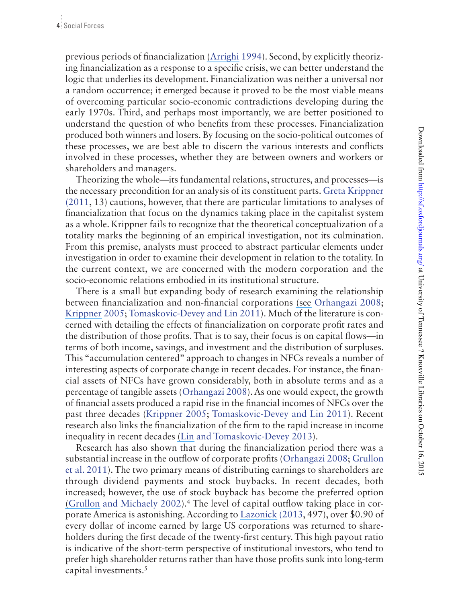previous periods of fnancialization (Arrighi 1994). Second, by explicitly theorizing fnancialization as a response to a specifc crisis, we can better understand the logic that underlies its development. Financialization was neither a universal nor a random occurrence; it emerged because it proved to be the most viable means of overcoming particular socio-economic contradictions developing during the early 1970s. Third, and perhaps most importantly, we are better positioned to understand the question of who benefts from these processes. Financialization produced both winners and losers. By focusing on the socio-political outcomes of these processes, we are best able to discern the various interests and conficts involved in these processes, whether they are between owners and workers or shareholders and managers.

Theorizing the whole—its fundamental relations, structures, and processes—is the necessary precondition for an analysis of its constituent parts. Greta Krippner (2011, 13) cautions, however, that there are particular limitations to analyses of fnancialization that focus on the dynamics taking place in the capitalist system as a whole. Krippner fails to recognize that the theoretical conceptualization of a totality marks the beginning of an empirical investigation, not its culmination. From this premise, analysts must proceed to abstract particular elements under investigation in order to examine their development in relation to the totality. In the current context, we are concerned with the modern corporation and the socio-economic relations embodied in its institutional structure.

There is a small but expanding body of research examining the relationship between fnancialization and non-fnancial corporations (see Orhangazi 2008; Krippner 2005; Tomaskovic-Devey and Lin 2011). Much of the literature is concerned with detailing the effects of fnancialization on corporate proft rates and the distribution of those profts. That is to say, their focus is on capital fows—in terms of both income, savings, and investment and the distribution of surpluses. This "accumulation centered" approach to changes in NFCs reveals a number of interesting aspects of corporate change in recent decades. For instance, the fnancial assets of NFCs have grown considerably, both in absolute terms and as a percentage of tangible assets (Orhangazi 2008). As one would expect, the growth of fnancial assets produced a rapid rise in the fnancial incomes of NFCs over the past three decades (Krippner 2005; Tomaskovic-Devey and Lin 2011). Recent research also links the fnancialization of the frm to the rapid increase in income inequality in recent decades (Lin and Tomaskovic-Devey 2013).

Research has also shown that during the fnancialization period there was a substantial increase in the outfow of corporate profts (Orhangazi 2008; Grullon et al. 2011). The two primary means of distributing earnings to shareholders are through dividend payments and stock buybacks. In recent decades, both increased; however, the use of stock buyback has become the preferred option (Grullon and Michaely 2002).4 The level of capital outfow taking place in corporate America is astonishing. According to Lazonick (2013, 497), over \$0.90 of every dollar of income earned by large US corporations was returned to shareholders during the frst decade of the twenty-frst century. This high payout ratio is indicative of the short-term perspective of institutional investors, who tend to prefer high shareholder returns rather than have those profts sunk into long-term capital investments.5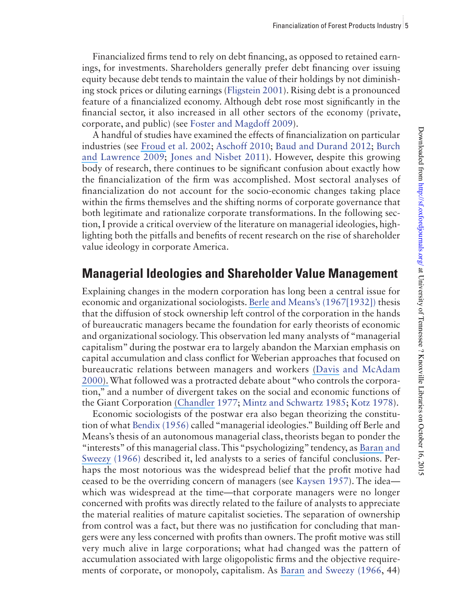Financialized frms tend to rely on debt fnancing, as opposed to retained earnings, for investments. Shareholders generally prefer debt fnancing over issuing equity because debt tends to maintain the value of their holdings by not diminishing stock prices or diluting earnings (Fligstein 2001). Rising debt is a pronounced feature of a fnancialized economy. Although debt rose most signifcantly in the fnancial sector, it also increased in all other sectors of the economy (private, corporate, and public) (see Foster and Magdoff 2009).

A handful of studies have examined the effects of fnancialization on particular industries (see Froud et al. 2002; Aschoff 2010; Baud and Durand 2012; Burch and Lawrence 2009; Jones and Nisbet 2011). However, despite this growing body of research, there continues to be signifcant confusion about exactly how the fnancialization of the frm was accomplished. Most sectoral analyses of fnancialization do not account for the socio-economic changes taking place within the frms themselves and the shifting norms of corporate governance that both legitimate and rationalize corporate transformations. In the following section, I provide a critical overview of the literature on managerial ideologies, highlighting both the pitfalls and benefts of recent research on the rise of shareholder value ideology in corporate America.

### **Managerial Ideologies and Shareholder Value Management**

Explaining changes in the modern corporation has long been a central issue for economic and organizational sociologists. Berle and Means's (1967[1932]) thesis that the diffusion of stock ownership left control of the corporation in the hands of bureaucratic managers became the foundation for early theorists of economic and organizational sociology. This observation led many analysts of "managerial capitalism" during the postwar era to largely abandon the Marxian emphasis on capital accumulation and class confict for Weberian approaches that focused on bureaucratic relations between managers and workers (Davis and McAdam 2000). What followed was a protracted debate about "who controls the corporation," and a number of divergent takes on the social and economic functions of the Giant Corporation (Chandler 1977; Mintz and Schwartz 1985; Kotz 1978).

Economic sociologists of the postwar era also began theorizing the constitution of what Bendix (1956) called "managerial ideologies." Building off Berle and Means's thesis of an autonomous managerial class, theorists began to ponder the "interests" of this managerial class. This "psychologizing" tendency, as Baran and Sweezy (1966) described it, led analysts to a series of fanciful conclusions. Perhaps the most notorious was the widespread belief that the proft motive had ceased to be the overriding concern of managers (see Kaysen 1957). The idea which was widespread at the time—that corporate managers were no longer concerned with profts was directly related to the failure of analysts to appreciate the material realities of mature capitalist societies. The separation of ownership from control was a fact, but there was no justifcation for concluding that mangers were any less concerned with profts than owners. The proft motive was still very much alive in large corporations; what had changed was the pattern of accumulation associated with large oligopolistic frms and the objective requirements of corporate, or monopoly, capitalism. As Baran and Sweezy (1966, 44)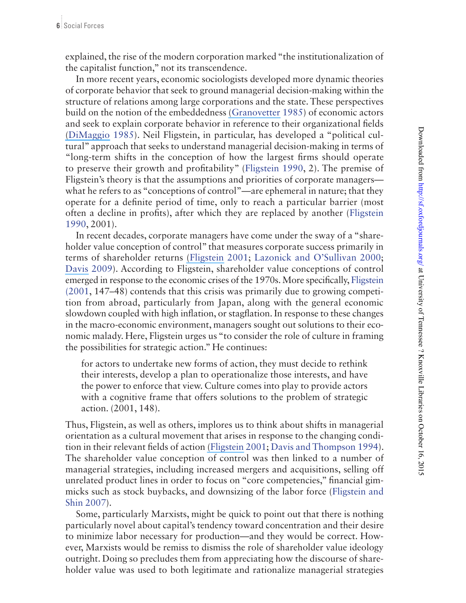explained, the rise of the modern corporation marked "the institutionalization of the capitalist function," not its transcendence.

In more recent years, economic sociologists developed more dynamic theories of corporate behavior that seek to ground managerial decision-making within the structure of relations among large corporations and the state. These perspectives build on the notion of the embeddedness (Granovetter 1985) of economic actors and seek to explain corporate behavior in reference to their organizational felds (DiMaggio 1985). Neil Fligstein, in particular, has developed a "political cultural" approach that seeks to understand managerial decision-making in terms of "long-term shifts in the conception of how the largest frms should operate to preserve their growth and proftability" (Fligstein 1990, 2). The premise of Fligstein's theory is that the assumptions and priorities of corporate managers what he refers to as "conceptions of control"—are ephemeral in nature; that they operate for a defnite period of time, only to reach a particular barrier (most often a decline in profts), after which they are replaced by another (Fligstein 1990, 2001).

In recent decades, corporate managers have come under the sway of a "shareholder value conception of control" that measures corporate success primarily in terms of shareholder returns (Fligstein 2001; Lazonick and O'Sullivan 2000; Davis 2009). According to Fligstein, shareholder value conceptions of control emerged in response to the economic crises of the 1970s. More specifcally, Fligstein (2001, 147–48) contends that this crisis was primarily due to growing competition from abroad, particularly from Japan, along with the general economic slowdown coupled with high infation, or stagfation. In response to these changes in the macro-economic environment, managers sought out solutions to their economic malady. Here, Fligstein urges us "to consider the role of culture in framing the possibilities for strategic action." He continues:

for actors to undertake new forms of action, they must decide to rethink their interests, develop a plan to operationalize those interests, and have the power to enforce that view. Culture comes into play to provide actors with a cognitive frame that offers solutions to the problem of strategic action. (2001, 148).

Thus, Fligstein, as well as others, implores us to think about shifts in managerial orientation as a cultural movement that arises in response to the changing condition in their relevant felds of action (Fligstein 2001; Davis and Thompson 1994). The shareholder value conception of control was then linked to a number of managerial strategies, including increased mergers and acquisitions, selling off unrelated product lines in order to focus on "core competencies," fnancial gimmicks such as stock buybacks, and downsizing of the labor force (Fligstein and Shin 2007).

Some, particularly Marxists, might be quick to point out that there is nothing particularly novel about capital's tendency toward concentration and their desire to minimize labor necessary for production—and they would be correct. However, Marxists would be remiss to dismiss the role of shareholder value ideology outright. Doing so precludes them from appreciating how the discourse of shareholder value was used to both legitimate and rationalize managerial strategies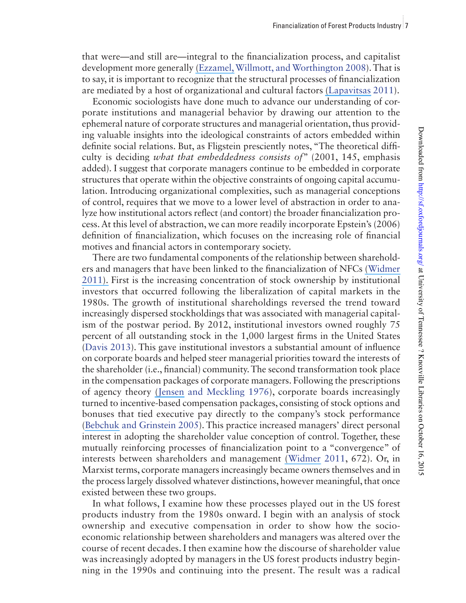that were—and still are—integral to the fnancialization process, and capitalist development more generally (Ezzamel, Willmott, and Worthington 2008). That is to say, it is important to recognize that the structural processes of fnancialization are mediated by a host of organizational and cultural factors (Lapavitsas 2011).

Economic sociologists have done much to advance our understanding of corporate institutions and managerial behavior by drawing our attention to the ephemeral nature of corporate structures and managerial orientation, thus providing valuable insights into the ideological constraints of actors embedded within defnite social relations. But, as Fligstein presciently notes, "The theoretical diffculty is deciding *what that embeddedness consists of*" (2001, 145, emphasis added). I suggest that corporate managers continue to be embedded in corporate structures that operate within the objective constraints of ongoing capital accumulation. Introducing organizational complexities, such as managerial conceptions of control, requires that we move to a lower level of abstraction in order to analyze how institutional actors refect (and contort) the broader fnancialization process. At this level of abstraction, we can more readily incorporate Epstein's (2006) defnition of fnancialization, which focuses on the increasing role of fnancial motives and fnancial actors in contemporary society.

There are two fundamental components of the relationship between shareholders and managers that have been linked to the fnancialization of NFCs (Widmer 2011). First is the increasing concentration of stock ownership by institutional investors that occurred following the liberalization of capital markets in the 1980s. The growth of institutional shareholdings reversed the trend toward increasingly dispersed stockholdings that was associated with managerial capitalism of the postwar period. By 2012, institutional investors owned roughly 75 percent of all outstanding stock in the 1,000 largest frms in the United States (Davis 2013). This gave institutional investors a substantial amount of infuence on corporate boards and helped steer managerial priorities toward the interests of the shareholder (i.e., fnancial) community. The second transformation took place in the compensation packages of corporate managers. Following the prescriptions of agency theory (Jensen and Meckling 1976), corporate boards increasingly turned to incentive-based compensation packages, consisting of stock options and bonuses that tied executive pay directly to the company's stock performance (Bebchuk and Grinstein 2005). This practice increased managers' direct personal interest in adopting the shareholder value conception of control. Together, these mutually reinforcing processes of fnancialization point to a "convergence" of interests between shareholders and management (Widmer 2011, 672). Or, in Marxist terms, corporate managers increasingly became owners themselves and in the process largely dissolved whatever distinctions, however meaningful, that once existed between these two groups.

In what follows, I examine how these processes played out in the US forest products industry from the 1980s onward. I begin with an analysis of stock ownership and executive compensation in order to show how the socioeconomic relationship between shareholders and managers was altered over the course of recent decades. I then examine how the discourse of shareholder value was increasingly adopted by managers in the US forest products industry beginning in the 1990s and continuing into the present. The result was a radical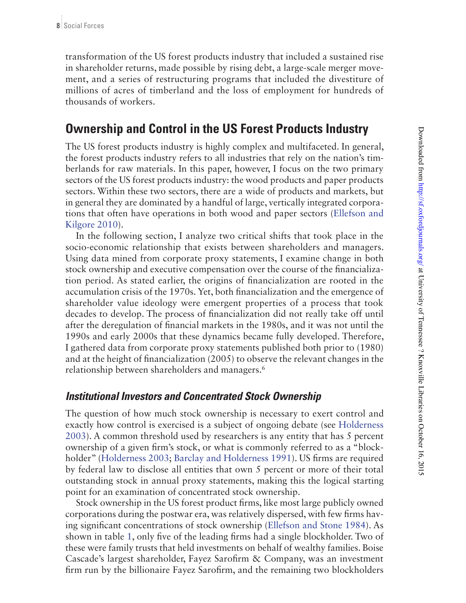transformation of the US forest products industry that included a sustained rise in shareholder returns, made possible by rising debt, a large-scale merger movement, and a series of restructuring programs that included the divestiture of millions of acres of timberland and the loss of employment for hundreds of thousands of workers.

# **Ownership and Control in the US Forest Products Industry**

The US forest products industry is highly complex and multifaceted. In general, the forest products industry refers to all industries that rely on the nation's timberlands for raw materials. In this paper, however, I focus on the two primary sectors of the US forest products industry: the wood products and paper products sectors. Within these two sectors, there are a wide of products and markets, but in general they are dominated by a handful of large, vertically integrated corporations that often have operations in both wood and paper sectors (Ellefson and Kilgore 2010).

In the following section, I analyze two critical shifts that took place in the socio-economic relationship that exists between shareholders and managers. Using data mined from corporate proxy statements, I examine change in both stock ownership and executive compensation over the course of the fnancialization period. As stated earlier, the origins of fnancialization are rooted in the accumulation crisis of the 1970s. Yet, both fnancialization and the emergence of shareholder value ideology were emergent properties of a process that took decades to develop. The process of fnancialization did not really take off until after the deregulation of fnancial markets in the 1980s, and it was not until the 1990s and early 2000s that these dynamics became fully developed. Therefore, I gathered data from corporate proxy statements published both prior to (1980) and at the height of fnancialization (2005) to observe the relevant changes in the relationship between shareholders and managers.6

### *Institutional Investors and Concentrated Stock Ownership*

The question of how much stock ownership is necessary to exert control and exactly how control is exercised is a subject of ongoing debate (see Holderness 2003). A common threshold used by researchers is any entity that has 5 percent ownership of a given frm's stock, or what is commonly referred to as a "blockholder" (Holderness 2003; Barclay and Holderness 1991). US firms are required by federal law to disclose all entities that own 5 percent or more of their total outstanding stock in annual proxy statements, making this the logical starting point for an examination of concentrated stock ownership.

Stock ownership in the US forest product frms, like most large publicly owned corporations during the postwar era, was relatively dispersed, with few frms having signifcant concentrations of stock ownership (Ellefson and Stone 1984). As shown in table 1, only fve of the leading frms had a single blockholder. Two of these were family trusts that held investments on behalf of wealthy families. Boise Cascade's largest shareholder, Fayez Sarofrm & Company, was an investment frm run by the billionaire Fayez Sarofrm, and the remaining two blockholders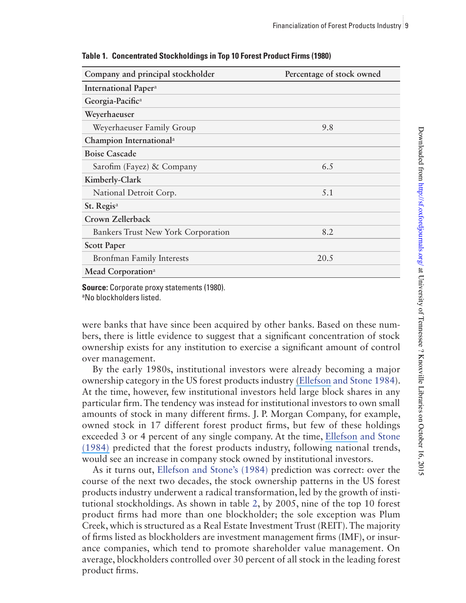| Company and principal stockholder         | Percentage of stock owned |
|-------------------------------------------|---------------------------|
| International Paper <sup>a</sup>          |                           |
| Georgia-Pacific <sup>a</sup>              |                           |
| Weyerhaeuser                              |                           |
| Weyerhaeuser Family Group                 | 9.8                       |
| Champion International <sup>a</sup>       |                           |
| <b>Boise Cascade</b>                      |                           |
| Sarofim (Fayez) & Company                 | 6.5                       |
| Kimberly-Clark                            |                           |
| National Detroit Corp.                    | 5.1                       |
| St. Regis <sup>a</sup>                    |                           |
| Crown Zellerback                          |                           |
| <b>Bankers Trust New York Corporation</b> | 8.2                       |
| <b>Scott Paper</b>                        |                           |
| <b>Bronfman Family Interests</b>          | 20.5                      |
| Mead Corporation <sup>a</sup>             |                           |

**Table 1. Concentrated Stockholdings in Top 10 Forest Product Firms (1980)**

**Source:** Corporate proxy statements (1980). aNo blockholders listed.

were banks that have since been acquired by other banks. Based on these numbers, there is little evidence to suggest that a signifcant concentration of stock ownership exists for any institution to exercise a signifcant amount of control over management.

By the early 1980s, institutional investors were already becoming a major ownership category in the US forest products industry (Ellefson and Stone 1984). At the time, however, few institutional investors held large block shares in any particular frm. The tendency was instead for institutional investors to own small amounts of stock in many different frms. J. P. Morgan Company, for example, owned stock in 17 different forest product frms, but few of these holdings exceeded 3 or 4 percent of any single company. At the time, Ellefson and Stone (1984) predicted that the forest products industry, following national trends, would see an increase in company stock owned by institutional investors.

As it turns out, Ellefson and Stone's (1984) prediction was correct: over the course of the next two decades, the stock ownership patterns in the US forest products industry underwent a radical transformation, led by the growth of institutional stockholdings. As shown in table 2, by 2005, nine of the top 10 forest product frms had more than one blockholder; the sole exception was Plum Creek, which is structured as a Real Estate Investment Trust (REIT). The majority of frms listed as blockholders are investment management frms (IMF), or insurance companies, which tend to promote shareholder value management. On average, blockholders controlled over 30 percent of all stock in the leading forest product frms.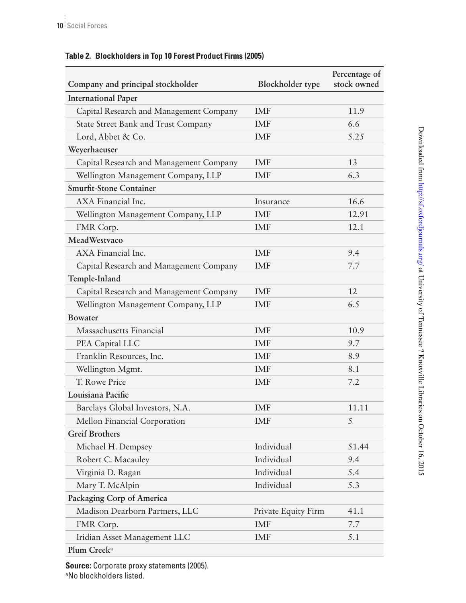| Company and principal stockholder          | <b>Blockholder</b> type | Percentage of<br>stock owned |
|--------------------------------------------|-------------------------|------------------------------|
| <b>International Paper</b>                 |                         |                              |
| Capital Research and Management Company    | <b>IMF</b>              | 11.9                         |
| <b>State Street Bank and Trust Company</b> | <b>IMF</b>              | 6.6                          |
| Lord, Abbet & Co.                          | <b>IMF</b>              | 5.25                         |
| Weyerhaeuser                               |                         |                              |
| Capital Research and Management Company    | <b>IMF</b>              | 13                           |
| Wellington Management Company, LLP         | <b>IMF</b>              | 6.3                          |
| <b>Smurfit-Stone Container</b>             |                         |                              |
| AXA Financial Inc.                         | Insurance               | 16.6                         |
| Wellington Management Company, LLP         | <b>IMF</b>              | 12.91                        |
| FMR Corp.                                  | <b>IMF</b>              | 12.1                         |
| MeadWestvaco                               |                         |                              |
| AXA Financial Inc.                         | <b>IMF</b>              | 9.4                          |
| Capital Research and Management Company    | <b>IMF</b>              | 7.7                          |
| Temple-Inland                              |                         |                              |
| Capital Research and Management Company    | <b>IMF</b>              | 12                           |
| Wellington Management Company, LLP         | <b>IMF</b>              | 6.5                          |
| <b>Bowater</b>                             |                         |                              |
| Massachusetts Financial                    | <b>IMF</b>              | 10.9                         |
| PEA Capital LLC                            | <b>IMF</b>              | 9.7                          |
| Franklin Resources, Inc.                   | <b>IMF</b>              | 8.9                          |
| Wellington Mgmt.                           | <b>IMF</b>              | 8.1                          |
| T. Rowe Price                              | <b>IMF</b>              | 7.2                          |
| Louisiana Pacific                          |                         |                              |
| Barclays Global Investors, N.A.            | <b>IMF</b>              | 11.11                        |
| Mellon Financial Corporation               | <b>IMF</b>              | 5                            |
| <b>Greif Brothers</b>                      |                         |                              |
| Michael H. Dempsey                         | Individual              | 51.44                        |
| Robert C. Macauley                         | Individual              | 9.4                          |
| Virginia D. Ragan                          | Individual              | 5.4                          |
| Mary T. McAlpin                            | Individual              | 5.3                          |
| Packaging Corp of America                  |                         |                              |
| Madison Dearborn Partners, LLC             | Private Equity Firm     | 41.1                         |
| FMR Corp.                                  | <b>IMF</b>              | 7.7                          |
| Iridian Asset Management LLC               | <b>IMF</b>              | 5.1                          |
| Plum Creek <sup>a</sup>                    |                         |                              |

**Source:** Corporate proxy statements (2005). aNo blockholders listed.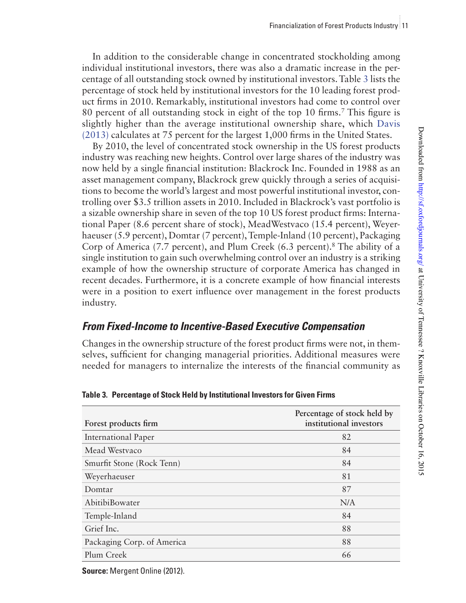In addition to the considerable change in concentrated stockholding among individual institutional investors, there was also a dramatic increase in the percentage of all outstanding stock owned by institutional investors. Table 3 lists the percentage of stock held by institutional investors for the 10 leading forest product frms in 2010. Remarkably, institutional investors had come to control over 80 percent of all outstanding stock in eight of the top 10 frms.7 This fgure is slightly higher than the average institutional ownership share, which Davis (2013) calculates at 75 percent for the largest 1,000 frms in the United States.

By 2010, the level of concentrated stock ownership in the US forest products industry was reaching new heights. Control over large shares of the industry was now held by a single fnancial institution: Blackrock Inc. Founded in 1988 as an asset management company, Blackrock grew quickly through a series of acquisitions to become the world's largest and most powerful institutional investor, controlling over \$3.5 trillion assets in 2010. Included in Blackrock's vast portfolio is a sizable ownership share in seven of the top 10 US forest product frms: International Paper (8.6 percent share of stock), MeadWestvaco (15.4 percent), Weyerhaeuser (5.9 percent), Domtar (7 percent), Temple-Inland (10 percent), Packaging Corp of America (7.7 percent), and Plum Creek (6.3 percent).<sup>8</sup> The ability of a single institution to gain such overwhelming control over an industry is a striking example of how the ownership structure of corporate America has changed in recent decades. Furthermore, it is a concrete example of how fnancial interests were in a position to exert infuence over management in the forest products industry.

### *From Fixed-Income to Incentive-Based Executive Compensation*

Changes in the ownership structure of the forest product frms were not, in themselves, suffcient for changing managerial priorities. Additional measures were needed for managers to internalize the interests of the fnancial community as

| Forest products firm       | Percentage of stock held by<br>institutional investors |
|----------------------------|--------------------------------------------------------|
| International Paper        | 82                                                     |
| Mead Westvaco              | 84                                                     |
| Smurfit Stone (Rock Tenn)  | 84                                                     |
| Weyerhaeuser               | 81                                                     |
| Domtar                     | 87                                                     |
| AbitibiBowater             | N/A                                                    |
| Temple-Inland              | 84                                                     |
| Grief Inc.                 | 88                                                     |
| Packaging Corp. of America | 88                                                     |
| Plum Creek                 | 66                                                     |

#### **Table 3. Percentage of Stock Held by Institutional Investors for Given Firms**

**Source:** Mergent Online (2012).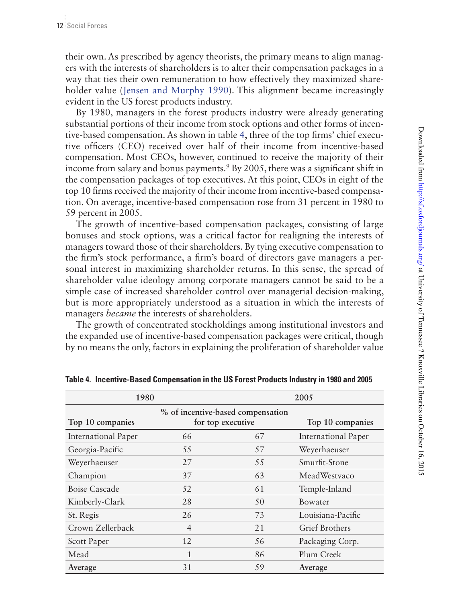their own. As prescribed by agency theorists, the primary means to align managers with the interests of shareholders is to alter their compensation packages in a way that ties their own remuneration to how effectively they maximized shareholder value (Jensen and Murphy 1990). This alignment became increasingly evident in the US forest products industry.

By 1980, managers in the forest products industry were already generating substantial portions of their income from stock options and other forms of incentive-based compensation. As shown in table 4, three of the top frms' chief executive officers (CEO) received over half of their income from incentive-based compensation. Most CEOs, however, continued to receive the majority of their income from salary and bonus payments.<sup>9</sup> By 2005, there was a significant shift in the compensation packages of top executives. At this point, CEOs in eight of the top 10 frms received the majority of their income from incentive-based compensation. On average, incentive-based compensation rose from 31 percent in 1980 to 59 percent in 2005.

The growth of incentive-based compensation packages, consisting of large bonuses and stock options, was a critical factor for realigning the interests of managers toward those of their shareholders. By tying executive compensation to the frm's stock performance, a frm's board of directors gave managers a personal interest in maximizing shareholder returns. In this sense, the spread of shareholder value ideology among corporate managers cannot be said to be a simple case of increased shareholder control over managerial decision-making, but is more appropriately understood as a situation in which the interests of managers *became* the interests of shareholders.

The growth of concentrated stockholdings among institutional investors and the expanded use of incentive-based compensation packages were critical, though by no means the only, factors in explaining the proliferation of shareholder value

| 1980                              |                   | 2005 |                       |  |  |  |
|-----------------------------------|-------------------|------|-----------------------|--|--|--|
| % of incentive-based compensation |                   |      |                       |  |  |  |
| Top 10 companies                  | for top executive |      | Top 10 companies      |  |  |  |
| <b>International Paper</b>        | 66                | 67   | International Paper   |  |  |  |
| Georgia-Pacific                   | 55                | 57   | Weyerhaeuser          |  |  |  |
| Weyerhaeuser                      | 27                | 55   | Smurfit-Stone         |  |  |  |
| Champion                          | 37                | 63   | MeadWestvaco          |  |  |  |
| <b>Boise Cascade</b>              | 52                | 61   | Temple-Inland         |  |  |  |
| Kimberly-Clark                    | 28                | 50   | Bowater               |  |  |  |
| St. Regis                         | 26                | 73   | Louisiana-Pacific     |  |  |  |
| Crown Zellerback                  | $\overline{4}$    | 21   | <b>Grief Brothers</b> |  |  |  |
| Scott Paper                       | 12                | 56   | Packaging Corp.       |  |  |  |
| Mead                              | 1                 | 86   | Plum Creek            |  |  |  |
| Average                           | 31                | 59   | Average               |  |  |  |

**Table 4. Incentive-Based Compensation in the US Forest Products Industry in 1980 and 2005**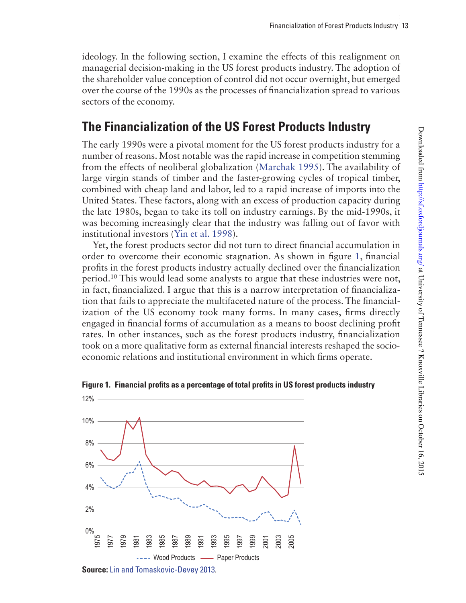ideology. In the following section, I examine the effects of this realignment on managerial decision-making in the US forest products industry. The adoption of the shareholder value conception of control did not occur overnight, but emerged over the course of the 1990s as the processes of fnancialization spread to various sectors of the economy.

## **The Financialization of the US Forest Products Industry**

The early 1990s were a pivotal moment for the US forest products industry for a number of reasons. Most notable was the rapid increase in competition stemming from the effects of neoliberal globalization (Marchak 1995). The availability of large virgin stands of timber and the faster-growing cycles of tropical timber, combined with cheap land and labor, led to a rapid increase of imports into the United States. These factors, along with an excess of production capacity during the late 1980s, began to take its toll on industry earnings. By the mid-1990s, it was becoming increasingly clear that the industry was falling out of favor with institutional investors (Yin et al. 1998).

Yet, the forest products sector did not turn to direct fnancial accumulation in order to overcome their economic stagnation. As shown in fgure 1, fnancial profts in the forest products industry actually declined over the fnancialization period.10 This would lead some analysts to argue that these industries were not, in fact, fnancialized. I argue that this is a narrow interpretation of fnancialization that fails to appreciate the multifaceted nature of the process. The fnancialization of the US economy took many forms. In many cases, frms directly engaged in fnancial forms of accumulation as a means to boost declining proft rates. In other instances, such as the forest products industry, fnancialization took on a more qualitative form as external fnancial interests reshaped the socioeconomic relations and institutional environment in which frms operate.



**Figure 1. Financial profits as a percentage of total profits in US forest products industry**

**Source:** Lin and Tomaskovic-Devey 2013.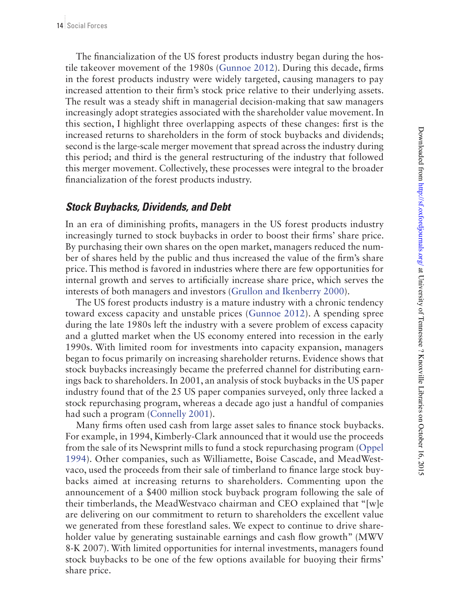The fnancialization of the US forest products industry began during the hostile takeover movement of the 1980s (Gunnoe 2012). During this decade, frms in the forest products industry were widely targeted, causing managers to pay increased attention to their frm's stock price relative to their underlying assets. The result was a steady shift in managerial decision-making that saw managers increasingly adopt strategies associated with the shareholder value movement. In this section, I highlight three overlapping aspects of these changes: frst is the increased returns to shareholders in the form of stock buybacks and dividends; second is the large-scale merger movement that spread across the industry during this period; and third is the general restructuring of the industry that followed this merger movement. Collectively, these processes were integral to the broader fnancialization of the forest products industry.

#### *Stock Buybacks, Dividends, and Debt*

In an era of diminishing profts, managers in the US forest products industry increasingly turned to stock buybacks in order to boost their frms' share price. By purchasing their own shares on the open market, managers reduced the number of shares held by the public and thus increased the value of the frm's share price. This method is favored in industries where there are few opportunities for internal growth and serves to artifcially increase share price, which serves the interests of both managers and investors (Grullon and Ikenberry 2000).

The US forest products industry is a mature industry with a chronic tendency toward excess capacity and unstable prices (Gunnoe 2012). A spending spree during the late 1980s left the industry with a severe problem of excess capacity and a glutted market when the US economy entered into recession in the early 1990s. With limited room for investments into capacity expansion, managers began to focus primarily on increasing shareholder returns. Evidence shows that stock buybacks increasingly became the preferred channel for distributing earnings back to shareholders. In 2001, an analysis of stock buybacks in the US paper industry found that of the 25 US paper companies surveyed, only three lacked a stock repurchasing program, whereas a decade ago just a handful of companies had such a program (Connelly 2001).

Many frms often used cash from large asset sales to fnance stock buybacks. For example, in 1994, Kimberly-Clark announced that it would use the proceeds from the sale of its Newsprint mills to fund a stock repurchasing program (Oppel 1994). Other companies, such as Williamette, Boise Cascade, and MeadWestvaco, used the proceeds from their sale of timberland to fnance large stock buybacks aimed at increasing returns to shareholders. Commenting upon the announcement of a \$400 million stock buyback program following the sale of their timberlands, the MeadWestvaco chairman and CEO explained that "[w]e are delivering on our commitment to return to shareholders the excellent value we generated from these forestland sales. We expect to continue to drive shareholder value by generating sustainable earnings and cash flow growth" (MWV) 8-K 2007). With limited opportunities for internal investments, managers found stock buybacks to be one of the few options available for buoying their frms' share price.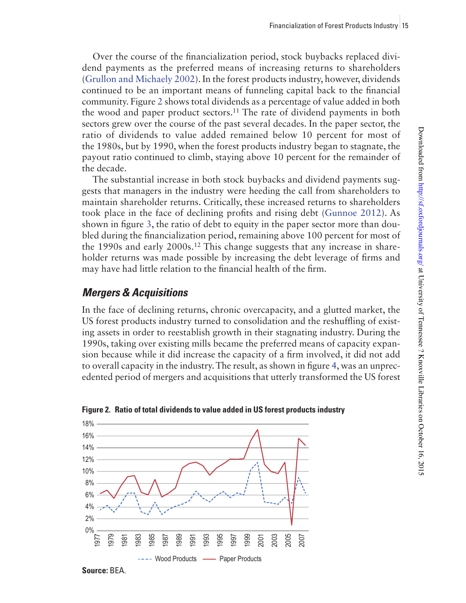Over the course of the fnancialization period, stock buybacks replaced dividend payments as the preferred means of increasing returns to shareholders (Grullon and Michaely 2002). In the forest products industry, however, dividends continued to be an important means of funneling capital back to the fnancial community. Figure 2 shows total dividends as a percentage of value added in both the wood and paper product sectors.<sup>11</sup> The rate of dividend payments in both sectors grew over the course of the past several decades. In the paper sector, the ratio of dividends to value added remained below 10 percent for most of the 1980s, but by 1990, when the forest products industry began to stagnate, the payout ratio continued to climb, staying above 10 percent for the remainder of the decade.

The substantial increase in both stock buybacks and dividend payments suggests that managers in the industry were heeding the call from shareholders to maintain shareholder returns. Critically, these increased returns to shareholders took place in the face of declining profts and rising debt (Gunnoe 2012). As shown in fgure 3, the ratio of debt to equity in the paper sector more than doubled during the fnancialization period, remaining above 100 percent for most of the 1990s and early 2000s.12 This change suggests that any increase in shareholder returns was made possible by increasing the debt leverage of frms and may have had little relation to the fnancial health of the frm.

### *Mergers & Acquisitions*

In the face of declining returns, chronic overcapacity, and a glutted market, the US forest products industry turned to consolidation and the reshuffing of existing assets in order to reestablish growth in their stagnating industry. During the 1990s, taking over existing mills became the preferred means of capacity expansion because while it did increase the capacity of a frm involved, it did not add to overall capacity in the industry. The result, as shown in fgure 4, was an unprecedented period of mergers and acquisitions that utterly transformed the US forest



**Figure 2. Ratio of total dividends to value added in US forest products industry**

**Source:** BEA.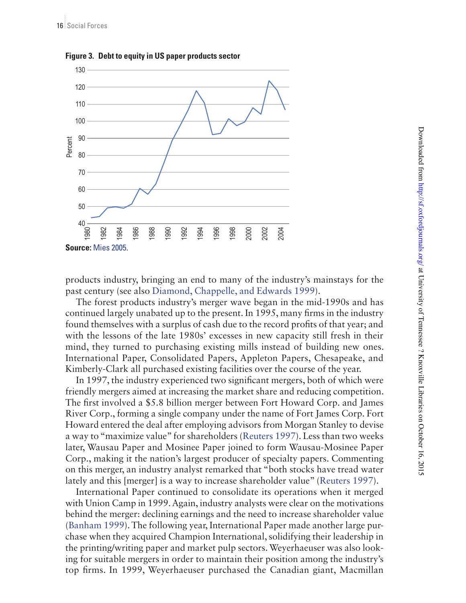

**Figure 3. Debt to equity in US paper products sector**

products industry, bringing an end to many of the industry's mainstays for the past century (see also Diamond, Chappelle, and Edwards 1999).

The forest products industry's merger wave began in the mid-1990s and has continued largely unabated up to the present. In 1995, many frms in the industry found themselves with a surplus of cash due to the record profts of that year; and with the lessons of the late 1980s' excesses in new capacity still fresh in their mind, they turned to purchasing existing mills instead of building new ones. International Paper, Consolidated Papers, Appleton Papers, Chesapeake, and Kimberly-Clark all purchased existing facilities over the course of the year.

In 1997, the industry experienced two signifcant mergers, both of which were friendly mergers aimed at increasing the market share and reducing competition. The frst involved a \$5.8 billion merger between Fort Howard Corp. and James River Corp., forming a single company under the name of Fort James Corp. Fort Howard entered the deal after employing advisors from Morgan Stanley to devise a way to "maximize value" for shareholders (Reuters 1997). Less than two weeks later, Wausau Paper and Mosinee Paper joined to form Wausau-Mosinee Paper Corp., making it the nation's largest producer of specialty papers. Commenting on this merger, an industry analyst remarked that "both stocks have tread water lately and this [merger] is a way to increase shareholder value" (Reuters 1997).

International Paper continued to consolidate its operations when it merged with Union Camp in 1999. Again, industry analysts were clear on the motivations behind the merger: declining earnings and the need to increase shareholder value (Banham 1999). The following year, International Paper made another large purchase when they acquired Champion International, solidifying their leadership in the printing/writing paper and market pulp sectors. Weyerhaeuser was also looking for suitable mergers in order to maintain their position among the industry's top frms. In 1999, Weyerhaeuser purchased the Canadian giant, Macmillan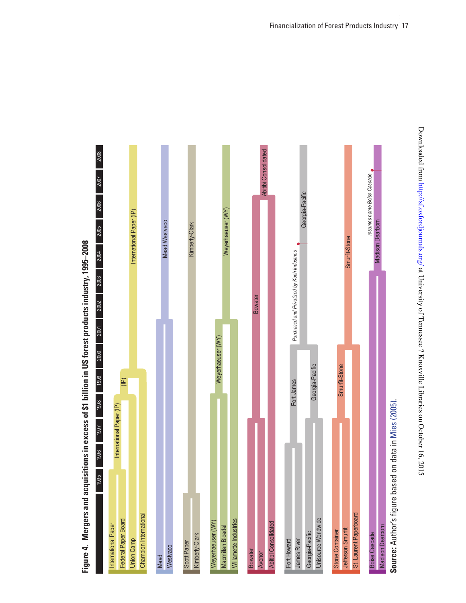

Downloaded from http://sf.oxfordjournals.org/ at University of Tennessee ? Knoxville Libraries on October 16, 2015 Downloaded from http://sf.oxfordjournals.org/ at University of Tennessee ? Knoxville Libraries on October 16, 2015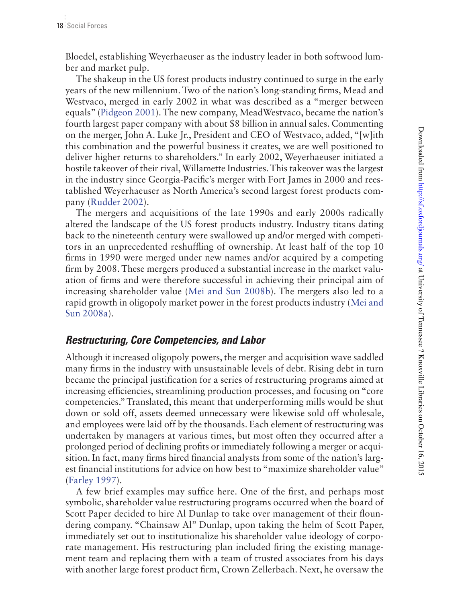Bloedel, establishing Weyerhaeuser as the industry leader in both softwood lumber and market pulp.

The shakeup in the US forest products industry continued to surge in the early years of the new millennium. Two of the nation's long-standing frms, Mead and Westvaco, merged in early 2002 in what was described as a "merger between equals" (Pidgeon 2001). The new company, MeadWestvaco, became the nation's fourth largest paper company with about \$8 billion in annual sales. Commenting on the merger, John A. Luke Jr., President and CEO of Westvaco, added, "[w]ith this combination and the powerful business it creates, we are well positioned to deliver higher returns to shareholders." In early 2002, Weyerhaeuser initiated a hostile takeover of their rival, Willamette Industries. This takeover was the largest in the industry since Georgia-Pacifc's merger with Fort James in 2000 and reestablished Weyerhaeuser as North America's second largest forest products company (Rudder 2002).

The mergers and acquisitions of the late 1990s and early 2000s radically altered the landscape of the US forest products industry. Industry titans dating back to the nineteenth century were swallowed up and/or merged with competitors in an unprecedented reshuffing of ownership. At least half of the top 10 frms in 1990 were merged under new names and/or acquired by a competing frm by 2008. These mergers produced a substantial increase in the market valuation of frms and were therefore successful in achieving their principal aim of increasing shareholder value (Mei and Sun 2008b). The mergers also led to a rapid growth in oligopoly market power in the forest products industry (Mei and Sun 2008a).

#### *Restructuring, Core Competencies, and Labor*

Although it increased oligopoly powers, the merger and acquisition wave saddled many frms in the industry with unsustainable levels of debt. Rising debt in turn became the principal justifcation for a series of restructuring programs aimed at increasing effciencies, streamlining production processes, and focusing on "core competencies." Translated, this meant that underperforming mills would be shut down or sold off, assets deemed unnecessary were likewise sold off wholesale, and employees were laid off by the thousands. Each element of restructuring was undertaken by managers at various times, but most often they occurred after a prolonged period of declining profts or immediately following a merger or acquisition. In fact, many frms hired fnancial analysts from some of the nation's largest fnancial institutions for advice on how best to "maximize shareholder value" (Farley 1997).

A few brief examples may suffce here. One of the frst, and perhaps most symbolic, shareholder value restructuring programs occurred when the board of Scott Paper decided to hire Al Dunlap to take over management of their floundering company. "Chainsaw Al" Dunlap, upon taking the helm of Scott Paper, immediately set out to institutionalize his shareholder value ideology of corporate management. His restructuring plan included fring the existing management team and replacing them with a team of trusted associates from his days with another large forest product frm, Crown Zellerbach. Next, he oversaw the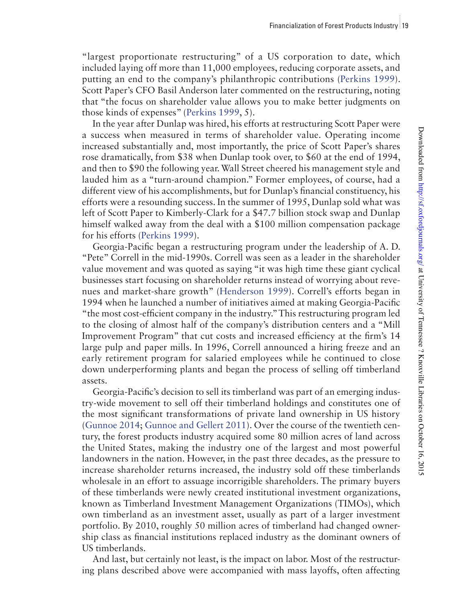"largest proportionate restructuring" of a US corporation to date, which included laying off more than 11,000 employees, reducing corporate assets, and putting an end to the company's philanthropic contributions (Perkins 1999). Scott Paper's CFO Basil Anderson later commented on the restructuring, noting that "the focus on shareholder value allows you to make better judgments on those kinds of expenses" (Perkins 1999, 5).

In the year after Dunlap was hired, his efforts at restructuring Scott Paper were a success when measured in terms of shareholder value. Operating income increased substantially and, most importantly, the price of Scott Paper's shares rose dramatically, from \$38 when Dunlap took over, to \$60 at the end of 1994, and then to \$90 the following year. Wall Street cheered his management style and lauded him as a "turn-around champion." Former employees, of course, had a different view of his accomplishments, but for Dunlap's fnancial constituency, his efforts were a resounding success. In the summer of 1995, Dunlap sold what was left of Scott Paper to Kimberly-Clark for a \$47.7 billion stock swap and Dunlap himself walked away from the deal with a \$100 million compensation package for his efforts (Perkins 1999).

Georgia-Pacifc began a restructuring program under the leadership of A. D. "Pete" Correll in the mid-1990s. Correll was seen as a leader in the shareholder value movement and was quoted as saying "it was high time these giant cyclical businesses start focusing on shareholder returns instead of worrying about revenues and market-share growth" (Henderson 1999). Correll's efforts began in 1994 when he launched a number of initiatives aimed at making Georgia-Pacifc "the most cost-effcient company in the industry." This restructuring program led to the closing of almost half of the company's distribution centers and a "Mill Improvement Program" that cut costs and increased efficiency at the firm's 14 large pulp and paper mills. In 1996, Correll announced a hiring freeze and an early retirement program for salaried employees while he continued to close down underperforming plants and began the process of selling off timberland assets.

Georgia-Pacifc's decision to sell its timberland was part of an emerging industry-wide movement to sell off their timberland holdings and constitutes one of the most signifcant transformations of private land ownership in US history (Gunnoe 2014; Gunnoe and Gellert 2011). Over the course of the twentieth century, the forest products industry acquired some 80 million acres of land across the United States, making the industry one of the largest and most powerful landowners in the nation. However, in the past three decades, as the pressure to increase shareholder returns increased, the industry sold off these timberlands wholesale in an effort to assuage incorrigible shareholders. The primary buyers of these timberlands were newly created institutional investment organizations, known as Timberland Investment Management Organizations (TIMOs), which own timberland as an investment asset, usually as part of a larger investment portfolio. By 2010, roughly 50 million acres of timberland had changed ownership class as fnancial institutions replaced industry as the dominant owners of US timberlands.

And last, but certainly not least, is the impact on labor. Most of the restructuring plans described above were accompanied with mass layoffs, often affecting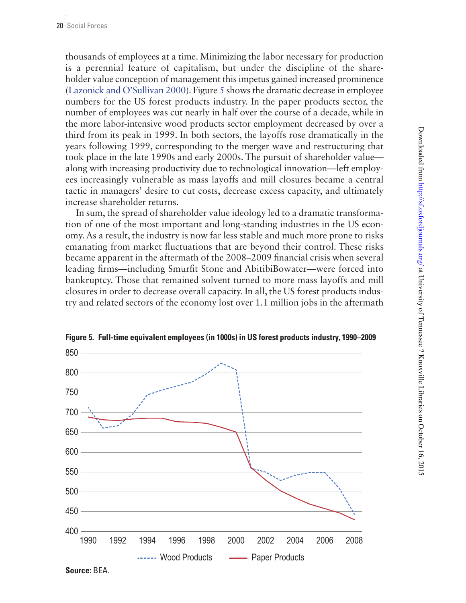thousands of employees at a time. Minimizing the labor necessary for production is a perennial feature of capitalism, but under the discipline of the shareholder value conception of management this impetus gained increased prominence (Lazonick and O'Sullivan 2000). Figure 5 shows the dramatic decrease in employee numbers for the US forest products industry. In the paper products sector, the number of employees was cut nearly in half over the course of a decade, while in the more labor-intensive wood products sector employment decreased by over a third from its peak in 1999. In both sectors, the layoffs rose dramatically in the years following 1999, corresponding to the merger wave and restructuring that took place in the late 1990s and early 2000s. The pursuit of shareholder value along with increasing productivity due to technological innovation—left employees increasingly vulnerable as mass layoffs and mill closures became a central tactic in managers' desire to cut costs, decrease excess capacity, and ultimately increase shareholder returns.

In sum, the spread of shareholder value ideology led to a dramatic transformation of one of the most important and long-standing industries in the US economy. As a result, the industry is now far less stable and much more prone to risks emanating from market fuctuations that are beyond their control. These risks became apparent in the aftermath of the 2008–2009 fnancial crisis when several leading frms—including Smurft Stone and AbitibiBowater—were forced into bankruptcy. Those that remained solvent turned to more mass layoffs and mill closures in order to decrease overall capacity. In all, the US forest products industry and related sectors of the economy lost over 1.1 million jobs in the aftermath



**Figure 5. Full-time equivalent employees (in 1000s) in US forest products industry, 1990–2009**

**Source:** BEA.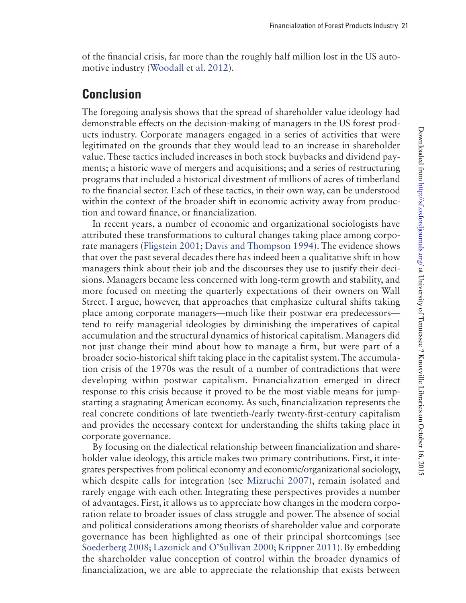of the fnancial crisis, far more than the roughly half million lost in the US automotive industry (Woodall et al. 2012).

### **Conclusion**

The foregoing analysis shows that the spread of shareholder value ideology had demonstrable effects on the decision-making of managers in the US forest products industry. Corporate managers engaged in a series of activities that were legitimated on the grounds that they would lead to an increase in shareholder value. These tactics included increases in both stock buybacks and dividend payments; a historic wave of mergers and acquisitions; and a series of restructuring programs that included a historical divestment of millions of acres of timberland to the fnancial sector. Each of these tactics, in their own way, can be understood within the context of the broader shift in economic activity away from production and toward fnance, or fnancialization.

In recent years, a number of economic and organizational sociologists have attributed these transformations to cultural changes taking place among corporate managers (Fligstein 2001; Davis and Thompson 1994). The evidence shows that over the past several decades there has indeed been a qualitative shift in how managers think about their job and the discourses they use to justify their decisions. Managers became less concerned with long-term growth and stability, and more focused on meeting the quarterly expectations of their owners on Wall Street. I argue, however, that approaches that emphasize cultural shifts taking place among corporate managers—much like their postwar era predecessors tend to reify managerial ideologies by diminishing the imperatives of capital accumulation and the structural dynamics of historical capitalism. Managers did not just change their mind about how to manage a frm, but were part of a broader socio-historical shift taking place in the capitalist system. The accumulation crisis of the 1970s was the result of a number of contradictions that were developing within postwar capitalism. Financialization emerged in direct response to this crisis because it proved to be the most viable means for jumpstarting a stagnating American economy. As such, fnancialization represents the real concrete conditions of late twentieth-/early twenty-frst-century capitalism and provides the necessary context for understanding the shifts taking place in corporate governance.

By focusing on the dialectical relationship between fnancialization and shareholder value ideology, this article makes two primary contributions. First, it integrates perspectives from political economy and economic/organizational sociology, which despite calls for integration (see Mizruchi 2007), remain isolated and rarely engage with each other. Integrating these perspectives provides a number of advantages. First, it allows us to appreciate how changes in the modern corporation relate to broader issues of class struggle and power. The absence of social and political considerations among theorists of shareholder value and corporate governance has been highlighted as one of their principal shortcomings (see Soederberg 2008; Lazonick and O'Sullivan 2000; Krippner 2011). By embedding the shareholder value conception of control within the broader dynamics of fnancialization, we are able to appreciate the relationship that exists between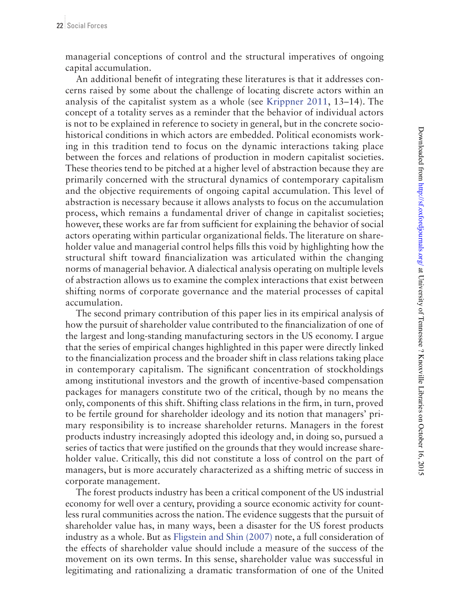managerial conceptions of control and the structural imperatives of ongoing capital accumulation.

An additional beneft of integrating these literatures is that it addresses concerns raised by some about the challenge of locating discrete actors within an analysis of the capitalist system as a whole (see Krippner 2011, 13–14). The concept of a totality serves as a reminder that the behavior of individual actors is not to be explained in reference to society in general, but in the concrete sociohistorical conditions in which actors are embedded. Political economists working in this tradition tend to focus on the dynamic interactions taking place between the forces and relations of production in modern capitalist societies. These theories tend to be pitched at a higher level of abstraction because they are primarily concerned with the structural dynamics of contemporary capitalism and the objective requirements of ongoing capital accumulation. This level of abstraction is necessary because it allows analysts to focus on the accumulation process, which remains a fundamental driver of change in capitalist societies; however, these works are far from sufficient for explaining the behavior of social actors operating within particular organizational felds. The literature on shareholder value and managerial control helps flls this void by highlighting how the structural shift toward fnancialization was articulated within the changing norms of managerial behavior. A dialectical analysis operating on multiple levels of abstraction allows us to examine the complex interactions that exist between shifting norms of corporate governance and the material processes of capital accumulation.

The second primary contribution of this paper lies in its empirical analysis of how the pursuit of shareholder value contributed to the fnancialization of one of the largest and long-standing manufacturing sectors in the US economy. I argue that the series of empirical changes highlighted in this paper were directly linked to the fnancialization process and the broader shift in class relations taking place in contemporary capitalism. The signifcant concentration of stockholdings among institutional investors and the growth of incentive-based compensation packages for managers constitute two of the critical, though by no means the only, components of this shift. Shifting class relations in the frm, in turn, proved to be fertile ground for shareholder ideology and its notion that managers' primary responsibility is to increase shareholder returns. Managers in the forest products industry increasingly adopted this ideology and, in doing so, pursued a series of tactics that were justifed on the grounds that they would increase shareholder value. Critically, this did not constitute a loss of control on the part of managers, but is more accurately characterized as a shifting metric of success in corporate management.

The forest products industry has been a critical component of the US industrial economy for well over a century, providing a source economic activity for countless rural communities across the nation. The evidence suggests that the pursuit of shareholder value has, in many ways, been a disaster for the US forest products industry as a whole. But as Fligstein and Shin (2007) note, a full consideration of the effects of shareholder value should include a measure of the success of the movement on its own terms. In this sense, shareholder value was successful in legitimating and rationalizing a dramatic transformation of one of the United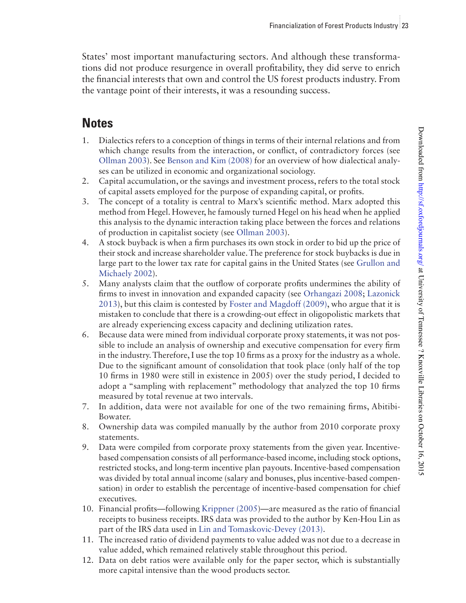States' most important manufacturing sectors. And although these transformations did not produce resurgence in overall proftability, they did serve to enrich the fnancial interests that own and control the US forest products industry. From the vantage point of their interests, it was a resounding success.

### **Notes**

- 1. Dialectics refers to a conception of things in terms of their internal relations and from which change results from the interaction, or confict, of contradictory forces (see Ollman 2003). See Benson and Kim (2008) for an overview of how dialectical analyses can be utilized in economic and organizational sociology.
- 2. Capital accumulation, or the savings and investment process, refers to the total stock of capital assets employed for the purpose of expanding capital, or profts.
- 3. The concept of a totality is central to Marx's scientifc method. Marx adopted this method from Hegel. However, he famously turned Hegel on his head when he applied this analysis to the dynamic interaction taking place between the forces and relations of production in capitalist society (see Ollman 2003).
- 4. A stock buyback is when a frm purchases its own stock in order to bid up the price of their stock and increase shareholder value. The preference for stock buybacks is due in large part to the lower tax rate for capital gains in the United States (see Grullon and Michaely 2002).
- 5. Many analysts claim that the outfow of corporate profts undermines the ability of frms to invest in innovation and expanded capacity (see Orhangazi 2008; Lazonick 2013), but this claim is contested by Foster and Magdoff (2009), who argue that it is mistaken to conclude that there is a crowding-out effect in oligopolistic markets that are already experiencing excess capacity and declining utilization rates.
- 6. Because data were mined from individual corporate proxy statements, it was not possible to include an analysis of ownership and executive compensation for every frm in the industry. Therefore, I use the top 10 frms as a proxy for the industry as a whole. Due to the signifcant amount of consolidation that took place (only half of the top 10 frms in 1980 were still in existence in 2005) over the study period, I decided to adopt a "sampling with replacement" methodology that analyzed the top 10 frms measured by total revenue at two intervals.
- 7. In addition, data were not available for one of the two remaining frms, Abitibi-Bowater.
- 8. Ownership data was compiled manually by the author from 2010 corporate proxy statements.
- 9. Data were compiled from corporate proxy statements from the given year. Incentivebased compensation consists of all performance-based income, including stock options, restricted stocks, and long-term incentive plan payouts. Incentive-based compensation was divided by total annual income (salary and bonuses, plus incentive-based compensation) in order to establish the percentage of incentive-based compensation for chief executives.
- 10. Financial profts—following Krippner (2005)—are measured as the ratio of fnancial receipts to business receipts. IRS data was provided to the author by Ken-Hou Lin as part of the IRS data used in Lin and Tomaskovic-Devey (2013).
- 11. The increased ratio of dividend payments to value added was not due to a decrease in value added, which remained relatively stable throughout this period.
- 12. Data on debt ratios were available only for the paper sector, which is substantially more capital intensive than the wood products sector.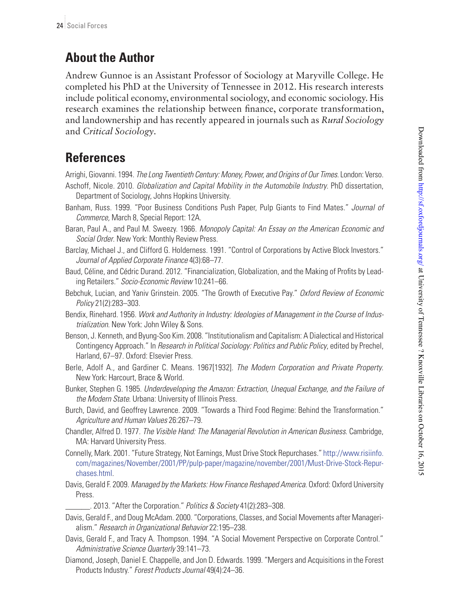# **About the Author**

Andrew Gunnoe is an Assistant Professor of Sociology at Maryville College. He completed his PhD at the University of Tennessee in 2012. His research interests include political economy, environmental sociology, and economic sociology. His research examines the relationship between fnance, corporate transformation, and landownership and has recently appeared in journals such as *Rural Sociology* and *Critical Sociology*.

# **References**

Arrighi, Giovanni. 1994. *The Long Twentieth Century: Money, Power, and Origins of Our Times*. London: Verso. Aschoff, Nicole. 2010. *Globalization and Capital Mobility in the Automobile Industry*. PhD dissertation, Department of Sociology, Johns Hopkins University.

Banham, Russ. 1999. "Poor Business Conditions Push Paper, Pulp Giants to Find Mates." *Journal of Commerce,* March 8, Special Report: 12A.

- Baran, Paul A., and Paul M. Sweezy. 1966. *Monopoly Capital: An Essay on the American Economic and Social Order*. New York: Monthly Review Press.
- Barclay, Michael J., and Clifford G. Holderness. 1991. "Control of Corporations by Active Block Investors." *Journal of Applied Corporate Finance* 4(3):68–77.
- Baud, Céline, and Cédric Durand. 2012. "Financialization, Globalization, and the Making of Profits by Leading Retailers." *Socio-Economic Review* 10:241–66.
- Bebchuk, Lucian, and Yaniv Grinstein. 2005. "The Growth of Executive Pay." *Oxford Review of Economic Policy* 21(2):283–303.
- Bendix, Rinehard. 1956. *Work and Authority in Industry: Ideologies of Management in the Course of Industrialization*. New York: John Wiley & Sons.
- Benson, J. Kenneth, and Byung-Soo Kim. 2008. "Institutionalism and Capitalism: A Dialectical and Historical Contingency Approach." In *Research in Political Sociology: Politics and Public Policy*, edited by Prechel, Harland, 67–97. Oxford: Elsevier Press.
- Berle, Adolf A., and Gardiner C. Means. 1967[1932]. *The Modern Corporation and Private Property*. New York: Harcourt, Brace & World.
- Bunker, Stephen G. 1985. *Underdeveloping the Amazon: Extraction, Unequal Exchange, and the Failure of the Modern State*. Urbana: University of Illinois Press.
- Burch, David, and Geoffrey Lawrence. 2009. "Towards a Third Food Regime: Behind the Transformation." *Agriculture and Human Values* 26:267–79.
- Chandler, Alfred D. 1977. *The Visible Hand: The Managerial Revolution in American Business*. Cambridge, MA: Harvard University Press.
- Connelly, Mark. 2001. "Future Strategy, Not Earnings, Must Drive Stock Repurchases." http://www.risiinfo. com/magazines/November/2001/PP/pulp-paper/magazine/november/2001/Must-Drive-Stock-Repurchases.html.
- Davis, Gerald F. 2009. *Managed by the Markets: How Finance Reshaped America*. Oxford: Oxford University Press.

\_\_\_\_\_\_. 2013. "After the Corporation." *Politics & Society* 41(2):283–308.

- Davis, Gerald F., and Doug McAdam. 2000. "Corporations, Classes, and Social Movements after Managerialism." *Research in Organizational Behavior* 22:195–238.
- Davis, Gerald F., and Tracy A. Thompson. 1994. "A Social Movement Perspective on Corporate Control." *Administrative Science Quarterly* 39:141–73.
- Diamond, Joseph, Daniel E. Chappelle, and Jon D. Edwards. 1999. "Mergers and Acquisitions in the Forest Products Industry." *Forest Products Journal* 49(4):24–36.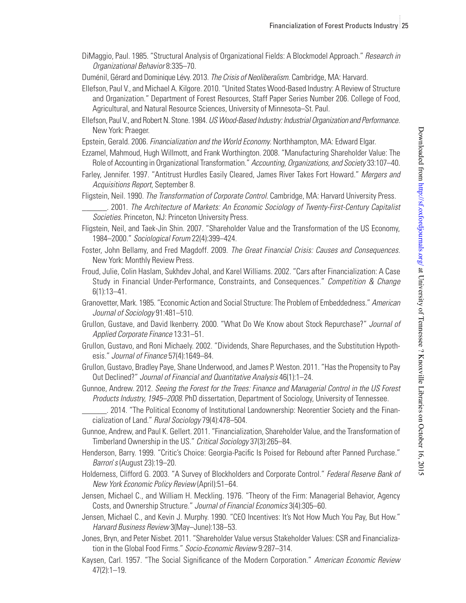- DiMaggio, Paul. 1985. "Structural Analysis of Organizational Fields: A Blockmodel Approach." *Research in Organizational Behavior* 8:335–70.
- Duménil, Gérard and Dominique Lévy. 2013. *The Crisis of Neoliberalism*. Cambridge, MA: Harvard.
- Ellefson, Paul V., and Michael A. Kilgore. 2010. "United States Wood-Based Industry: A Review of Structure and Organization." Department of Forest Resources, Staff Paper Series Number 206. College of Food, Agricultural, and Natural Resource Sciences, University of Minnesota–St. Paul.
- Ellefson, Paul V., and Robert N. Stone. 1984. *US Wood-Based Industry: Industrial Organization and Performance*. New York: Praeger.
- Epstein, Gerald. 2006. *Financialization and the World Economy*. Northhampton, MA: Edward Elgar.
- Ezzamel, Mahmoud, Hugh Willmott, and Frank Worthington. 2008. "Manufacturing Shareholder Value: The Role of Accounting in Organizational Transformation." *Accounting, Organizations, and Society* 33:107–40.
- Farley, Jennifer. 1997. "Antitrust Hurdles Easily Cleared, James River Takes Fort Howard." *Mergers and Acquisitions Report*, September 8.
- Fligstein, Neil. 1990. *The Transformation of Corporate Control*. Cambridge, MA: Harvard University Press.

- Fligstein, Neil, and Taek-Jin Shin. 2007. "Shareholder Value and the Transformation of the US Economy, 1984–2000." *Sociological Forum* 22(4):399–424.
- Foster, John Bellamy, and Fred Magdoff. 2009. *The Great Financial Crisis: Causes and Consequences*. New York: Monthly Review Press.
- Froud, Julie, Colin Haslam, Sukhdev Johal, and Karel Williams. 2002. "Cars after Financialization: A Case Study in Financial Under-Performance, Constraints, and Consequences." *Competition & Change* 6(1):13–41.
- Granovetter, Mark. 1985. "Economic Action and Social Structure: The Problem of Embeddedness." *American Journal of Sociology* 91:481–510.
- Grullon, Gustave, and David Ikenberry. 2000. "What Do We Know about Stock Repurchase?" *Journal of Applied Corporate Finance* 13:31–51.
- Grullon, Gustavo, and Roni Michaely. 2002. "Dividends, Share Repurchases, and the Substitution Hypothesis." *Journal of Finance* 57(4):1649–84.
- Grullon, Gustavo, Bradley Paye, Shane Underwood, and James P. Weston. 2011. "Has the Propensity to Pay Out Declined?" *Journal of Financial and Quantitative Analysis* 46(1):1–24.
- Gunnoe, Andrew. 2012. *Seeing the Forest for the Trees: Finance and Managerial Control in the US Forest Products Industry, 1945–2008*. PhD dissertation, Department of Sociology, University of Tennessee.

\_\_\_\_\_\_. 2014. "The Political Economy of Institutional Landownership: Neorentier Society and the Financialization of Land." *Rural Sociology* 79(4):478–504.

- Gunnoe, Andrew, and Paul K. Gellert. 2011. "Financialization, Shareholder Value, and the Transformation of Timberland Ownership in the US." *Critical Sociology* 37(3):265–84.
- Henderson, Barry. 1999. "Critic's Choice: Georgia-Pacific Is Poised for Rebound after Panned Purchase." *Barron*'*s* (August 23):19–20.
- Holderness, Clifford G. 2003. "A Survey of Blockholders and Corporate Control." *Federal Reserve Bank of New York Economic Policy Review* (April):51–64.
- Jensen, Michael C., and William H. Meckling. 1976. "Theory of the Firm: Managerial Behavior, Agency Costs, and Ownership Structure." *Journal of Financial Economics* 3(4):305–60.
- Jensen, Michael C., and Kevin J. Murphy. 1990. "CEO Incentives: It's Not How Much You Pay, But How." *Harvard Business Review* 3(May–June):138–53.
- Jones, Bryn, and Peter Nisbet. 2011. "Shareholder Value versus Stakeholder Values: CSR and Financialization in the Global Food Firms." *Socio-Economic Review* 9:287–314.
- Kaysen, Carl. 1957. "The Social Significance of the Modern Corporation." *American Economic Review* 47(2):1–19.

\_\_\_\_\_\_. 2001. *The Architecture of Markets: An Economic Sociology of Twenty-First-Century Capitalist Societies*. Princeton, NJ: Princeton University Press.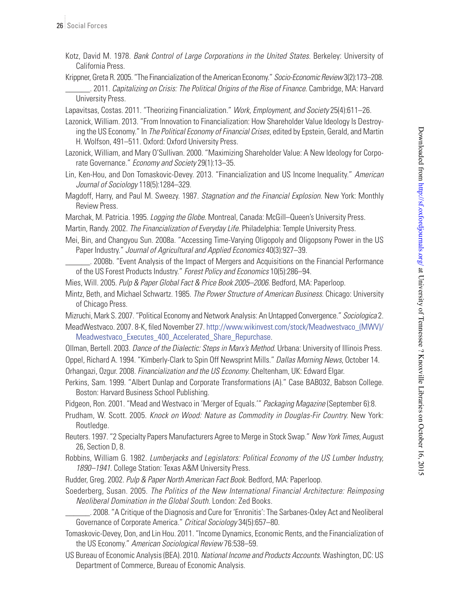Kotz, David M. 1978. *Bank Control of Large Corporations in the United States*. Berkeley: University of California Press.

Krippner, Greta R. 2005. "The Financialization of the American Economy." *Socio-Economic Review* 3(2):173–208. \_\_\_\_\_\_. 2011. *Capitalizing on Crisis: The Political Origins of the Rise of Finance*. Cambridge, MA: Harvard University Press.

- Lapavitsas, Costas. 2011. "Theorizing Financialization." *Work, Employment, and Society* 25(4):611–26.
- Lazonick, William. 2013. "From Innovation to Financialization: How Shareholder Value Ideology Is Destroying the US Economy." In *The Political Economy of Financial Crises*, edited by Epstein, Gerald, and Martin H. Wolfson, 491–511. Oxford: Oxford University Press.
- Lazonick, William, and Mary O'Sullivan. 2000. "Maximizing Shareholder Value: A New Ideology for Corporate Governance." *Economy and Society* 29(1):13–35.
- Lin, Ken-Hou, and Don Tomaskovic-Devey. 2013. "Financialization and US Income Inequality." *American Journal of Sociology* 118(5):1284–329.
- Magdoff, Harry, and Paul M. Sweezy. 1987. *Stagnation and the Financial Explosion*. New York: Monthly Review Press.
- Marchak, M. Patricia. 1995. *Logging the Globe*. Montreal, Canada: McGill–Queen's University Press.

Martin, Randy. 2002. *The Financialization of Everyday Life.* Philadelphia: Temple University Press.

- Mei, Bin, and Changyou Sun. 2008a. "Accessing Time-Varying Oligopoly and Oligopsony Power in the US Paper Industry." *Journal of Agricultural and Applied Economics* 40(3):927–39.
	- \_\_\_\_\_\_. 2008b. "Event Analysis of the Impact of Mergers and Acquisitions on the Financial Performance of the US Forest Products Industry." *Forest Policy and Economics* 10(5):286–94.
- Mies, Will. 2005. *Pulp & Paper Global Fact & Price Book 2005–2006*. Bedford, MA: Paperloop.
- Mintz, Beth, and Michael Schwartz. 1985. *The Power Structure of American Business*. Chicago: University of Chicago Press.

Mizruchi, Mark S. 2007. "Political Economy and Network Analysis: An Untapped Convergence." *Sociologica* 2.

- MeadWestvaco. 2007. 8-K, filed November 27. http://www.wikinvest.com/stock/Meadwestvaco\_(MWV)/ Meadwestvaco Executes 400 Accelerated Share Repurchase.
- Ollman, Bertell. 2003. *Dance of the Dialectic: Steps in Marx's Method*. Urbana: University of Illinois Press.
- Oppel, Richard A. 1994. "Kimberly-Clark to Spin Off Newsprint Mills." *Dallas Morning News*, October 14. Orhangazi, Ozgur. 2008. *Financialization and the US Economy*. Cheltenham, UK: Edward Elgar.
- Perkins, Sam. 1999. "Albert Dunlap and Corporate Transformations (A)." Case BAB032, Babson College. Boston: Harvard Business School Publishing.

Pidgeon, Ron. 2001. "Mead and Westvaco in 'Merger of Equals.'" *Packaging Magazine* (September 6):8.

- Prudham, W. Scott. 2005. *Knock on Wood: Nature as Commodity in Douglas-Fir Country.* New York: Routledge.
- Reuters. 1997. "2 Specialty Papers Manufacturers Agree to Merge in Stock Swap." *New York Times*, August 26, Section D, 8.
- Robbins, William G. 1982. *Lumberjacks and Legislators: Political Economy of the US Lumber Industry, 1890–1941*. College Station: Texas A&M University Press.
- Rudder, Greg. 2002. *Pulp & Paper North American Fact Book*. Bedford, MA: Paperloop.
- Soederberg, Susan. 2005. *The Politics of the New International Financial Architecture: Reimposing Neoliberal Domination in the Global South.* London: Zed Books.
	- \_\_\_\_\_\_. 2008. "A Critique of the Diagnosis and Cure for 'Enronitis': The Sarbanes-Oxley Act and Neoliberal Governance of Corporate America." *Critical Sociology* 34(5):657–80.
- Tomaskovic-Devey, Don, and Lin Hou. 2011. "Income Dynamics, Economic Rents, and the Financialization of the US Economy." *American Sociological Review* 76:538–59.
- US Bureau of Economic Analysis (BEA). 2010. *National Income and Products Accounts*. Washington, DC: US Department of Commerce, Bureau of Economic Analysis.